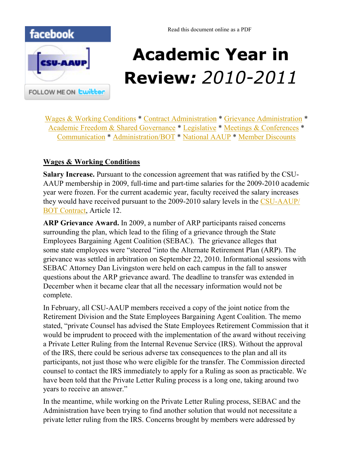<span id="page-0-0"></span>

# **Academic Year in Review***: 2010-2011*

[Wages & Working Conditions](#page-0-0) \* [Contract Administration](#page-1-0) \* [Grievance Administration](#page-2-0) \* [Academic Freedom & Shared Governance](#page-2-0) \* [Legislative](#page-3-0) \* [Meetings & Conferences](#page-4-0) \* [Communication](#page-5-0) \* [Administration/BOT](#page-6-0) \* [National AAUP](#page-7-0) \* [Member Discounts](#page-9-0)

# **Wages & Working Conditions**

**Salary Increase.** Pursuant to the concession agreement that was ratified by the CSU-AAUP membership in 2009, full-time and part-time salaries for the 2009-2010 academic year were frozen. For the current academic year, faculty received the salary increases they would have received pursuant to the 2009-2010 salary levels in the [CSU-AAUP/](http://www.csuaaup.org/wp-content/uploads/2010/07/AAUP2007-2011FINALContract200711.pdf) [BOT Contract,](http://www.csuaaup.org/wp-content/uploads/2010/07/AAUP2007-2011FINALContract200711.pdf) Article 12.

**ARP Grievance Award.** In 2009, a number of ARP participants raised concerns surrounding the plan, which lead to the filing of a grievance through the State Employees Bargaining Agent Coalition (SEBAC). The grievance alleges that some state employees were "steered "into the Alternate Retirement Plan (ARP). The grievance was settled in arbitration on September 22, 2010. Informational sessions with SEBAC Attorney Dan Livingston were held on each campus in the fall to answer questions about the ARP grievance award. The deadline to transfer was extended in December when it became clear that all the necessary information would not be complete.

In February, all CSU-AAUP members received a copy of the joint notice from the Retirement Division and the State Employees Bargaining Agent Coalition. The memo stated, "private Counsel has advised the State Employees Retirement Commission that it would be imprudent to proceed with the implementation of the award without receiving a Private Letter Ruling from the Internal Revenue Service (IRS). Without the approval of the IRS, there could be serious adverse tax consequences to the plan and all its participants, not just those who were eligible for the transfer. The Commission directed counsel to contact the IRS immediately to apply for a Ruling as soon as practicable. We have been told that the Private Letter Ruling process is a long one, taking around two years to receive an answer."

In the meantime, while working on the Private Letter Ruling process, SEBAC and the Administration have been trying to find another solution that would not necessitate a private letter ruling from the IRS. Concerns brought by members were addressed by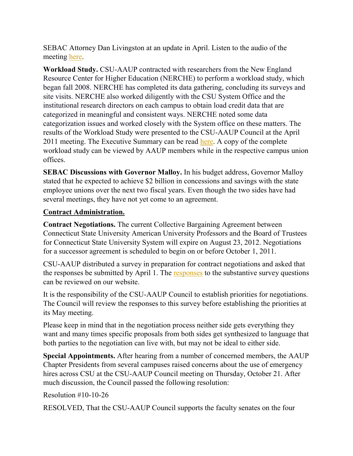<span id="page-1-0"></span>SEBAC Attorney Dan Livingston at an update in April. Listen to the audio of the meeting [here.](http://www.csuaaup.org/wp-content/uploads/2011/04/ARPUpdate041511.WMA) 

**Workload Study.** CSU-AAUP contracted with researchers from the New England Resource Center for Higher Education (NERCHE) to perform a workload study, which began fall 2008. NERCHE has completed its data gathering, concluding its surveys and site visits. NERCHE also worked diligently with the CSU System Office and the institutional research directors on each campus to obtain load credit data that are categorized in meaningful and consistent ways. NERCHE noted some data categorization issues and worked closely with the System office on these matters. The results of the Workload Study were presented to the CSU-AAUP Council at the April 2011 meeting. The Executive Summary can be read [here.](http://www.csuaaup.org/wp-content/uploads/2011/04/ExecutiveSummaryWkldStudy.doc) A copy of the complete workload study can be viewed by AAUP members while in the respective campus union offices.

**SEBAC Discussions with Governor Malloy.** In his budget address, Governor Malloy stated that he expected to achieve \$2 billion in concessions and savings with the state employee unions over the next two fiscal years. Even though the two sides have had several meetings, they have not yet come to an agreement.

#### **Contract Administration.**

**Contract Negotiations.** The current Collective Bargaining Agreement between Connecticut State University American University Professors and the Board of Trustees for Connecticut State University System will expire on August 23, 2012. Negotiations for a successor agreement is scheduled to begin on or before October 1, 2011.

CSU-AAUP distributed a survey in preparation for contract negotiations and asked that the [responses](http://www.csuaaup.org/?page_id=1535) be submitted by April 1. The responses to the substantive survey questions can be reviewed on our website.

It is the responsibility of the CSU-AAUP Council to establish priorities for negotiations. The Council will review the responses to this survey before establishing the priorities at its May meeting.

Please keep in mind that in the negotiation process neither side gets everything they want and many times specific proposals from both sides get synthesized to language that both parties to the negotiation can live with, but may not be ideal to either side.

**Special Appointments.** After hearing from a number of concerned members, the AAUP Chapter Presidents from several campuses raised concerns about the use of emergency hires across CSU at the CSU-AAUP Council meeting on Thursday, October 21. After much discussion, the Council passed the following resolution:

Resolution #10-10-26

RESOLVED, That the CSU-AAUP Council supports the faculty senates on the four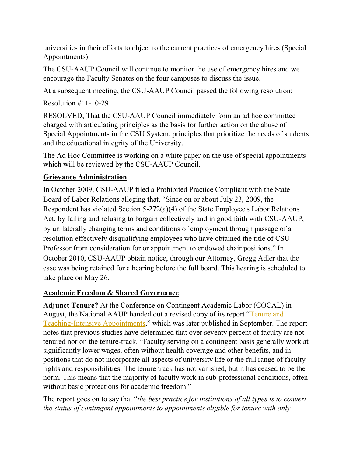<span id="page-2-0"></span>universities in their efforts to object to the current practices of emergency hires (Special Appointments).

The CSU-AAUP Council will continue to monitor the use of emergency hires and we encourage the Faculty Senates on the four campuses to discuss the issue.

At a subsequent meeting, the CSU-AAUP Council passed the following resolution:

Resolution #11-10-29

RESOLVED, That the CSU-AAUP Council immediately form an ad hoc committee charged with articulating principles as the basis for further action on the abuse of Special Appointments in the CSU System, principles that prioritize the needs of students and the educational integrity of the University.

The Ad Hoc Committee is working on a white paper on the use of special appointments which will be reviewed by the CSU-AAUP Council.

## **Grievance Administration**

In October 2009, CSU-AAUP filed a Prohibited Practice Compliant with the State Board of Labor Relations alleging that, "Since on or about July 23, 2009, the Respondent has violated Section 5-272(a)(4) of the State Employee's Labor Relations Act, by failing and refusing to bargain collectively and in good faith with CSU-AAUP, by unilaterally changing terms and conditions of employment through passage of a resolution effectively disqualifying employees who have obtained the title of CSU Professor from consideration for or appointment to endowed chair positions." In October 2010, CSU-AAUP obtain notice, through our Attorney, Gregg Adler that the case was being retained for a hearing before the full board. This hearing is scheduled to take place on May 26.

## **Academic Freedom & Shared Governance**

**Adjunct Tenure?** At the Conference on Contingent Academic Labor (COCAL) in August, the National AAUP handed out a revised copy of its report "Tenure and [Teaching-Intensive Appointments](http://www.aaup.org/NR/rdonlyres/3B21B7EB-86D7-498D-9498-10978175B5DA/0/TenureTeachersRpt.pdf)," which was later published in September. The report notes that previous studies have determined that over seventy percent of faculty are not tenured nor on the tenure-track. "Faculty serving on a contingent basis generally work at significantly lower wages, often without health coverage and other benefits, and in positions that do not incorporate all aspects of university life or the full range of faculty rights and responsibilities. The tenure track has not vanished, but it has ceased to be the norm. This means that the majority of faculty work in sub-professional conditions, often without basic protections for academic freedom."

The report goes on to say that "*the best practice for institutions of all types is to convert the status of contingent appointments to appointments eligible for tenure with only*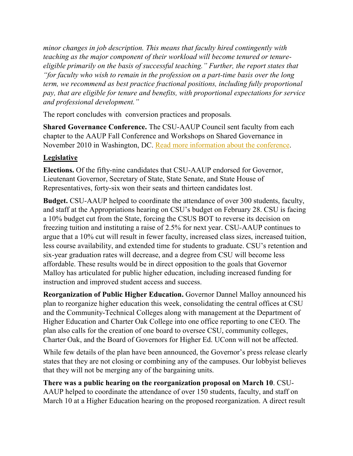<span id="page-3-0"></span>*minor changes in job description. This means that faculty hired contingently with teaching as the major component of their workload will become tenured or tenureeligible primarily on the basis of successful teaching." Further, the report states that "for faculty who wish to remain in the profession on a part-time basis over the long term, we recommend as best practice fractional positions, including fully proportional pay, that are eligible for tenure and benefits, with proportional expectations for service and professional development."* 

The report concludes with conversion practices and proposals*.* 

**Shared Governance Conference.** The CSU-AAUP Council sent faculty from each chapter to the AAUP Fall Conference and Workshops on Shared Governance in November 2010 in Washington, DC. [Read more information about the conference.](http://www.aaup.org/AAUP/about/events/past/2010/govconf/default.htm) 

# **Legislative**

**Elections.** Of the fifty-nine candidates that CSU-AAUP endorsed for Governor, Lieutenant Governor, Secretary of State, State Senate, and State House of Representatives, forty-six won their seats and thirteen candidates lost.

**Budget.** CSU-AAUP helped to coordinate the attendance of over 300 students, faculty, and staff at the Appropriations hearing on CSU's budget on February 28. CSU is facing a 10% budget cut from the State, forcing the CSUS BOT to reverse its decision on freezing tuition and instituting a raise of 2.5% for next year. CSU-AAUP continues to argue that a 10% cut will result in fewer faculty, increased class sizes, increased tuition, less course availability, and extended time for students to graduate. CSU's retention and six-year graduation rates will decrease, and a degree from CSU will become less affordable. These results would be in direct opposition to the goals that Governor Malloy has articulated for public higher education, including increased funding for instruction and improved student access and success.

**Reorganization of Public Higher Education.** Governor Dannel Malloy announced his plan to reorganize higher education this week, consolidating the central offices at CSU and the Community-Technical Colleges along with management at the Department of Higher Education and Charter Oak College into one office reporting to one CEO. The plan also calls for the creation of one board to oversee CSU, community colleges, Charter Oak, and the Board of Governors for Higher Ed. UConn will not be affected.

While few details of the plan have been announced, the Governor's press release clearly states that they are not closing or combining any of the campuses. Our lobbyist believes that they will not be merging any of the bargaining units.

#### **There was a public hearing on the reorganization proposal on March 10**. CSU-AAUP helped to coordinate the attendance of over 150 students, faculty, and staff on March 10 at a Higher Education hearing on the proposed reorganization. A direct result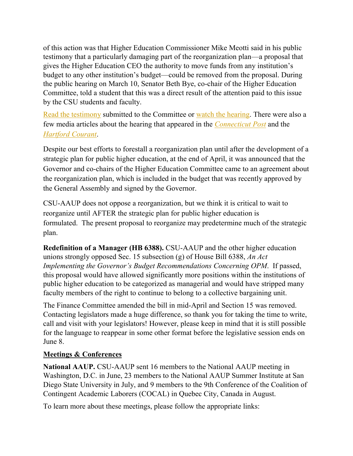<span id="page-4-0"></span>of this action was that Higher Education Commissioner Mike Meotti said in his public testimony that a particularly damaging part of the reorganization plan—a proposal that gives the Higher Education CEO the authority to move funds from any institution's budget to any other institution's budget—could be removed from the proposal. During the public hearing on March 10, Senator Beth Bye, co-chair of the Higher Education Committee, told a student that this was a direct result of the attention paid to this issue by the CSU students and faculty.

[Read the testimony](http://www.cga.ct.gov/asp/menu/CommDocTmyBill.asp?comm_code=HED&bill=SB-01011&doc_year=2011) submitted to the Committee or [watch the hearing.](http://ct-n.com/ondemand.asp?ID=6343) There were also a few media articles about the hearing that appeared in the *[Connecticut Post](http://www.ctpost.com/news/article/College-merger-plan-gets-cool-reception-1067027.php)* and the *[Hartford Courant](http://articles.courant.com/2011-03-10/news/hc-higher-education-reorganization-0320110310_1_universities-meotti-community-colleges)*.

Despite our best efforts to forestall a reorganization plan until after the development of a strategic plan for public higher education, at the end of April, it was announced that the Governor and co-chairs of the Higher Education Committee came to an agreement about the reorganization plan, which is included in the budget that was recently approved by the General Assembly and signed by the Governor.

CSU-AAUP does not oppose a reorganization, but we think it is critical to wait to reorganize until AFTER the strategic plan for public higher education is formulated. The present proposal to reorganize may predetermine much of the strategic plan.

**Redefinition of a Manager (HB 6388).** CSU-AAUP and the other higher education unions strongly opposed Sec. 15 subsection (g) of House Bill 6388, *An Act Implementing the Governor's Budget Recommendations Concerning OPM*. If passed, this proposal would have allowed significantly more positions within the institutions of public higher education to be categorized as managerial and would have stripped many faculty members of the right to continue to belong to a collective bargaining unit.

The Finance Committee amended the bill in mid-April and Section 15 was removed. Contacting legislators made a huge difference, so thank you for taking the time to write, call and visit with your legislators! However, please keep in mind that it is still possible for the language to reappear in some other format before the legislative session ends on June 8.

## **Meetings & Conferences**

**National AAUP.** CSU-AAUP sent 16 members to the National AAUP meeting in Washington, D.C. in June, 23 members to the National AAUP Summer Institute at San Diego State University in July, and 9 members to the 9th Conference of the Coalition of Contingent Academic Laborers (COCAL) in Quebec City, Canada in August.

To learn more about these meetings, please follow the appropriate links: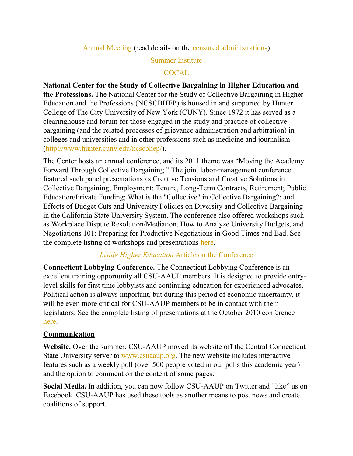[Annual Meeting](http://www.aaup.org/AAUP/newsroom/prarchives/2010/pream.htm) (read details on the [censured administrations\)](http://www.aaup.org/AAUP/newsroom/prarchives/2010/censure.htm)

## [Summer Institute](http://www.aaup.org/NR/rdonlyres/F6054F12-C6CB-4121-9308-687AFA078720/0/2010LegalRoundup.pdf)

## **[COCAL](http://www.insidehighered.com/news/2010/08/17/cocal)**

<span id="page-5-0"></span>**National Center for the Study of Collective Bargaining in Higher Education and the Professions.** The National Center for the Study of Collective Bargaining in Higher Education and the Professions (NCSCBHEP) is housed in and supported by Hunter College of The City University of New York (CUNY). Since 1972 it has served as a clearinghouse and forum for those engaged in the study and practice of collective bargaining (and the related processes of grievance administration and arbitration) in colleges and universities and in other professions such as medicine and journalism [\(http://www.hunter.cuny.edu/ncscbhep/\)](http://www.hunter.cuny.edu/ncscbhep/).

The Center hosts an annual conference, and its 2011 theme was "Moving the Academy" Forward Through Collective Bargaining." The joint labor-management conference featured such panel presentations as Creative Tensions and Creative Solutions in Collective Bargaining; Employment: Tenure, Long-Term Contracts, Retirement; Public Education/Private Funding; What is the "Collective" in Collective Bargaining?; and Effects of Budget Cuts and University Policies on Diversity and Collective Bargaining in the California State University System. The conference also offered workshops such as Workplace Dispute Resolution/Mediation, How to Analyze University Budgets, and Negotiations 101: Preparing for Productive Negotiations in Good Times and Bad. See the complete listing of workshops and presentations [here.](http://www.hunter.cuny.edu/ncscbhep/repository/2011-national-conference/conference_brochure.pdf) 

## *Inside Higher Education* [Article on the Conference](http://www.insidehighered.com/news/2011/04/12/college_collective_bargaining_experts_push_for_shared_perspective)

**Connecticut Lobbying Conference.** The Connecticut Lobbying Conference is an excellent training opportunity all CSU-AAUP members. It is designed to provide entrylevel skills for first time lobbyists and continuing education for experienced advocates. Political action is always important, but during this period of economic uncertainty, it will be even more critical for CSU-AAUP members to be in contact with their legislators. See the complete listing of presentations at the October 2010 conference [here.](http://www.bettygallo.com/index.php/2010-connecticut-lobbying-conference)

## **Communication**

**Website.** Over the summer, CSU-AAUP moved its website off the Central Connecticut State University server to [www.csuaaup.org.](http://www.csuaaup.org/) The new website includes interactive features such as a weekly poll (over 500 people voted in our polls this academic year) and the option to comment on the content of some pages.

**Social Media.** In addition, you can now follow CSU-AAUP on Twitter and "like" us on Facebook. CSU-AAUP has used these tools as another means to post news and create coalitions of support.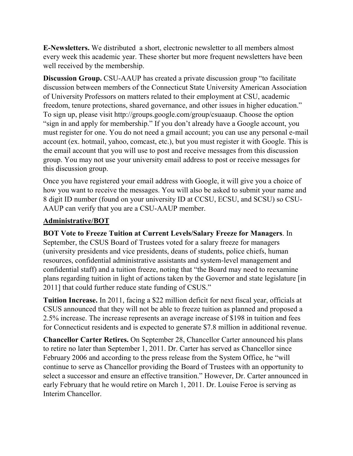<span id="page-6-0"></span>**E-Newsletters.** We distributed a short, electronic newsletter to all members almost every week this academic year. These shorter but more frequent newsletters have been well received by the membership.

**Discussion Group.** CSU-AAUP has created a private discussion group "to facilitate discussion between members of the Connecticut State University American Association of University Professors on matters related to their employment at CSU, academic freedom, tenure protections, shared governance, and other issues in higher education." To sign up, please visit http://groups.google.com/group/csuaaup. Choose the option "sign in and apply for membership." If you don't already have a Google account, you must register for one. You do not need a gmail account; you can use any personal e-mail account (ex. hotmail, yahoo, comcast, etc.), but you must register it with Google. This is the email account that you will use to post and receive messages from this discussion group. You may not use your university email address to post or receive messages for this discussion group.

Once you have registered your email address with Google, it will give you a choice of how you want to receive the messages. You will also be asked to submit your name and 8 digit ID number (found on your university ID at CCSU, ECSU, and SCSU) so CSU-AAUP can verify that you are a CSU-AAUP member.

#### **Administrative/BOT**

**BOT Vote to Freeze Tuition at Current Levels/Salary Freeze for Managers**. In September, the CSUS Board of Trustees voted for a salary freeze for managers (university presidents and vice presidents, deans of students, police chiefs, human resources, confidential administrative assistants and system-level management and confidential staff) and a tuition freeze, noting that "the Board may need to reexamine plans regarding tuition in light of actions taken by the Governor and state legislature [in 2011] that could further reduce state funding of CSUS."

**Tuition Increase.** In 2011, facing a \$22 million deficit for next fiscal year, officials at CSUS announced that they will not be able to freeze tuition as planned and proposed a 2.5% increase. The increase represents an average increase of \$198 in tuition and fees for Connecticut residents and is expected to generate \$7.8 million in additional revenue.

**Chancellor Carter Retires.** On September 28, Chancellor Carter announced his plans to retire no later than September 1, 2011. Dr. Carter has served as Chancellor since February 2006 and according to the press release from the System Office, he "will continue to serve as Chancellor providing the Board of Trustees with an opportunity to select a successor and ensure an effective transition." However, Dr. Carter announced in early February that he would retire on March 1, 2011. Dr. Louise Feroe is serving as Interim Chancellor.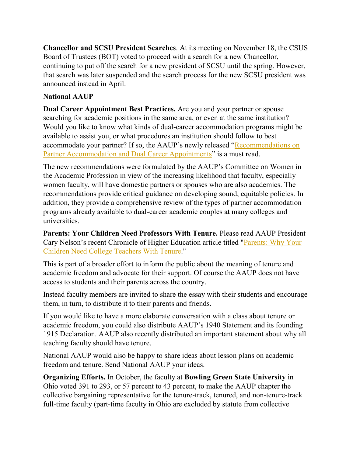<span id="page-7-0"></span>**Chancellor and SCSU President Searches**. At its meeting on November 18, the CSUS Board of Trustees (BOT) voted to proceed with a search for a new Chancellor, continuing to put off the search for a new president of SCSU until the spring. However, that search was later suspended and the search process for the new SCSU president was announced instead in April.

## **National AAUP**

**Dual Career Appointment Best Practices.** Are you and your partner or spouse searching for academic positions in the same area, or even at the same institution? Would you like to know what kinds of dual-career accommodation programs might be available to assist you, or what procedures an institution should follow to best accommodate your partner? If so, the AAUP's newly released "Recommendations on [Partner Accommodation and Dual Career Appointments](http://www.aaup.org/AAUP/comm/rep/dual.htm)" is a must read.

The new recommendations were formulated by the AAUP's Committee on Women in the Academic Profession in view of the increasing likelihood that faculty, especially women faculty, will have domestic partners or spouses who are also academics. The recommendations provide critical guidance on developing sound, equitable policies. In addition, they provide a comprehensive review of the types of partner accommodation programs already available to dual-career academic couples at many colleges and universities.

**Parents: Your Children Need Professors With Tenure.** Please read AAUP President Cary Nelson's recent Chronicle of Higher Education article titled "[Parents: Why Your](http://chronicle.com/article/Parents-Your-Children-Need/124776/)  [Children Need College Teachers With Tenure."](http://chronicle.com/article/Parents-Your-Children-Need/124776/)

This is part of a broader effort to inform the public about the meaning of tenure and academic freedom and advocate for their support. Of course the AAUP does not have access to students and their parents across the country.

Instead faculty members are invited to share the essay with their students and encourage them, in turn, to distribute it to their parents and friends.

If you would like to have a more elaborate conversation with a class about tenure or academic freedom, you could also distribute AAUP's 1940 Statement and its founding 1915 Declaration. AAUP also recently distributed an important statement about why all teaching faculty should have tenure.

National AAUP would also be happy to share ideas about lesson plans on academic freedom and tenure. Send National AAUP your ideas.

**Organizing Efforts.** In October, the faculty at **Bowling Green State University** in Ohio voted 391 to 293, or 57 percent to 43 percent, to make the AAUP chapter the collective bargaining representative for the tenure-track, tenured, and non-tenure-track full-time faculty (part-time faculty in Ohio are excluded by statute from collective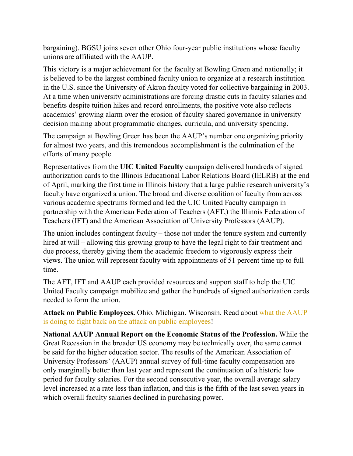bargaining). BGSU joins seven other Ohio four-year public institutions whose faculty unions are affiliated with the AAUP.

This victory is a major achievement for the faculty at Bowling Green and nationally; it is believed to be the largest combined faculty union to organize at a research institution in the U.S. since the University of Akron faculty voted for collective bargaining in 2003. At a time when university administrations are forcing drastic cuts in faculty salaries and benefits despite tuition hikes and record enrollments, the positive vote also reflects academics' growing alarm over the erosion of faculty shared governance in university decision making about programmatic changes, curricula, and university spending.

The campaign at Bowling Green has been the AAUP's number one organizing priority for almost two years, and this tremendous accomplishment is the culmination of the efforts of many people.

Representatives from the **UIC United Faculty** campaign delivered hundreds of signed authorization cards to the Illinois Educational Labor Relations Board (IELRB) at the end of April, marking the first time in Illinois history that a large public research university's faculty have organized a union. The broad and diverse coalition of faculty from across various academic spectrums formed and led the UIC United Faculty campaign in partnership with the American Federation of Teachers (AFT,) the Illinois Federation of Teachers (IFT) and the American Association of University Professors (AAUP).

The union includes contingent faculty – those not under the tenure system and currently hired at will – allowing this growing group to have the legal right to fair treatment and due process, thereby giving them the academic freedom to vigorously express their views. The union will represent faculty with appointments of 51 percent time up to full time.

The AFT, IFT and AAUP each provided resources and support staff to help the UIC United Faculty campaign mobilize and gather the hundreds of signed authorization cards needed to form the union.

**Attack on Public Employees.** Ohio. Michigan. Wisconsin. Read about [what the AAUP](http://www.aaup.org/AAUP/GR/Public/alerts.htm)  [is doing to fight back on the attack on public employees!](http://www.aaup.org/AAUP/GR/Public/alerts.htm)

**National AAUP Annual Report on the Economic Status of the Profession.** While the Great Recession in the broader US economy may be technically over, the same cannot be said for the higher education sector. The results of the American Association of University Professors' (AAUP) annual survey of full-time faculty compensation are only marginally better than last year and represent the continuation of a historic low period for faculty salaries. For the second consecutive year, the overall average salary level increased at a rate less than inflation, and this is the fifth of the last seven years in which overall faculty salaries declined in purchasing power.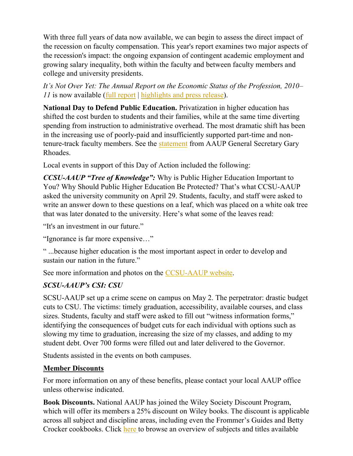<span id="page-9-0"></span>With three full years of data now available, we can begin to assess the direct impact of the recession on faculty compensation. This year's report examines two major aspects of the recession's impact: the ongoing expansion of contingent academic employment and growing salary inequality, both within the faculty and between faculty members and college and university presidents.

*It's Not Over Yet: The Annual Report on the Economic Status of the Profession, 2010– 11* is now available [\(full report](http://www.aaup.org/NR/rdonlyres/17BABE36-BA30-467D-BE2F-34C37325549A/0/zreport.pdf) | [highlights and press release\)](http://www.aaup.org/AAUP/newsroom/2011PRs/salsurvey.htm).

**National Day to Defend Public Education.** Privatization in higher education has shifted the cost burden to students and their families, while at the same time diverting spending from instruction to administrative overhead. The most dramatic shift has been in the increasing use of poorly-paid and insufficiently supported part-time and nontenure-track faculty members. See the [statement](http://www.aaup.org/AAUP/about/gensec/let/oct7.htm) from AAUP General Secretary Gary Rhoades.

Local events in support of this Day of Action included the following:

*CCSU-AAUP "Tree of Knowledge":* Why is Public Higher Education Important to You? Why Should Public Higher Education Be Protected? That's what CCSU-AAUP asked the university community on April 29. Students, faculty, and staff were asked to write an answer down to these questions on a leaf, which was placed on a white oak tree that was later donated to the university. Here's what some of the leaves read:

"It's an investment in our future."

"Ignorance is far more expensive..."

― ...because higher education is the most important aspect in order to develop and sustain our nation in the future."

See more information and photos on the [CCSU-AAUP website.](http://ccsu.csuaaup.org/)

# *SCSU-AAUP's CSI: CSU*

SCSU-AAUP set up a crime scene on campus on May 2. The perpetrator: drastic budget cuts to CSU. The victims: timely graduation, accessibility, available courses, and class sizes. Students, faculty and staff were asked to fill out "witness information forms," identifying the consequences of budget cuts for each individual with options such as slowing my time to graduation, increasing the size of my classes, and adding to my student debt. Over 700 forms were filled out and later delivered to the Governor.

Students assisted in the events on both campuses.

# **Member Discounts**

For more information on any of these benefits, please contact your local AAUP office unless otherwise indicated.

**Book Discounts.** National AAUP has joined the Wiley Society Discount Program, which will offer its members a 25% discount on Wiley books. The discount is applicable across all subject and discipline areas, including even the Frommer's Guides and Betty Crocker cookbooks. Click [here t](http://lyris.eresources.com:81/t/5286380/5600656/1876/0/)o browse an overview of subjects and titles available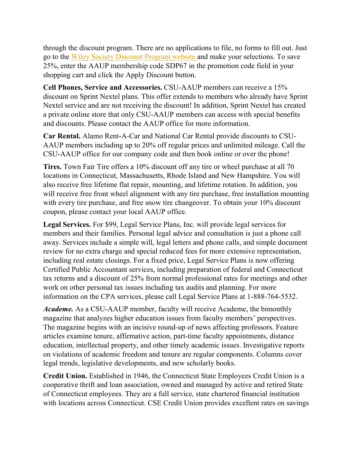through the discount program. There are no applications to file, no forms to fill out. Just go to the [Wiley Society Discount Program website an](http://lyris.eresources.com:81/t/5286380/5600656/1875/0/)d make your selections. To save 25%, enter the AAUP membership code SDP67 in the promotion code field in your shopping cart and click the Apply Discount button.

**Cell Phones, Service and Accessories.** CSU-AAUP members can receive a 15% discount on Sprint Nextel plans. This offer extends to members who already have Sprint Nextel service and are not receiving the discount! In addition, Sprint Nextel has created a private online store that only CSU-AAUP members can access with special benefits and discounts. Please contact the AAUP office for more information.

**Car Rental.** Alamo Rent-A-Car and National Car Rental provide discounts to CSU-AAUP members including up to 20% off regular prices and unlimited mileage. Call the CSU-AAUP office for our company code and then book online or over the phone!

**Tires.** Town Fair Tire offers a 10% discount off any tire or wheel purchase at all 70 locations in Connecticut, Massachusetts, Rhode Island and New Hampshire. You will also receive free lifetime flat repair, mounting, and lifetime rotation. In addition, you will receive free front wheel alignment with any tire purchase, free installation mounting with every tire purchase, and free snow tire changeover. To obtain your 10% discount coupon, please contact your local AAUP office.

**Legal Services.** For \$99, Legal Service Plans, Inc. will provide legal services for members and their families. Personal legal advice and consultation is just a phone call away. Services include a simple will, legal letters and phone calls, and simple document review for no extra charge and special reduced fees for more extensive representation, including real estate closings. For a fixed price, Legal Service Plans is now offering Certified Public Accountant services, including preparation of federal and Connecticut tax returns and a discount of 25% from normal professional rates for meetings and other work on other personal tax issues including tax audits and planning. For more information on the CPA services, please call Legal Service Plans at 1-888-764-5532.

*Academe.* As a CSU-AAUP member, faculty will receive Academe, the bimonthly magazine that analyzes higher education issues from faculty members' perspectives. The magazine begins with an incisive round-up of news affecting professors. Feature articles examine tenure, affirmative action, part-time faculty appointments, distance education, intellectual property, and other timely academic issues. Investigative reports on violations of academic freedom and tenure are regular components. Columns cover legal trends, legislative developments, and new scholarly books.

**Credit Union.** Established in 1946, the Connecticut State Employees Credit Union is a cooperative thrift and loan association, owned and managed by active and retired State of Connecticut employees. They are a full service, state chartered financial institution with locations across Connecticut. CSE Credit Union provides excellent rates on savings